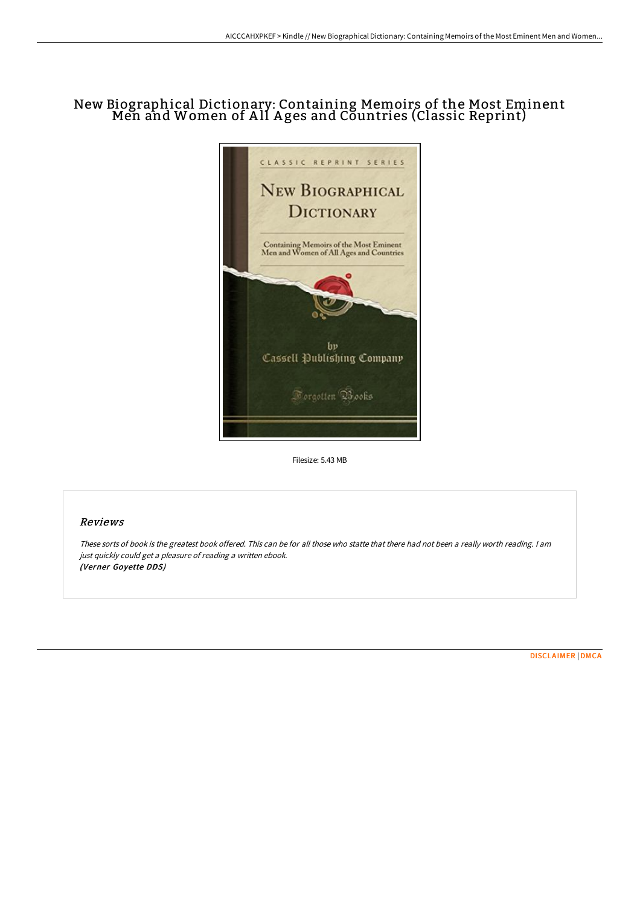# New Biographical Dictionary: Containing Memoirs of the Most Eminent Men and Women of A ll A ges and Countries (Classic Reprint)



Filesize: 5.43 MB

## Reviews

These sorts of book is the greatest book offered. This can be for all those who statte that there had not been <sup>a</sup> really worth reading. <sup>I</sup> am just quickly could get <sup>a</sup> pleasure of reading <sup>a</sup> written ebook. (Verner Goyette DDS)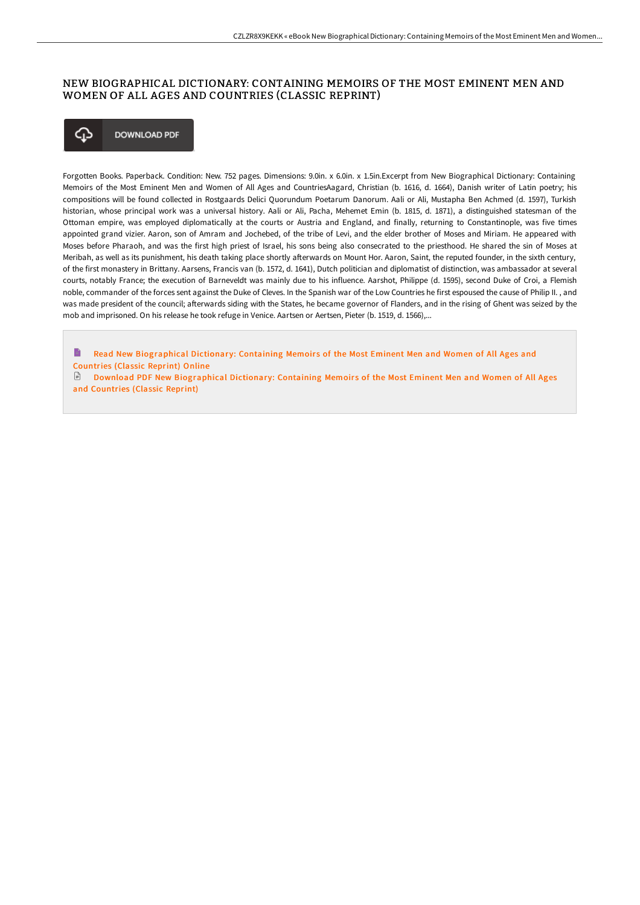#### NEW BIOGRAPHICAL DICTIONARY: CONTAINING MEMOIRS OF THE MOST EMINENT MEN AND WOMEN OF ALL AGES AND COUNTRIES (CLASSIC REPRINT)



Forgotten Books. Paperback. Condition: New. 752 pages. Dimensions: 9.0in. x 6.0in. x 1.5in.Excerpt from New Biographical Dictionary: Containing Memoirs of the Most Eminent Men and Women of All Ages and CountriesAagard, Christian (b. 1616, d. 1664), Danish writer of Latin poetry; his compositions will be found collected in Rostgaards Delici Quorundum Poetarum Danorum. Aali or Ali, Mustapha Ben Achmed (d. 1597), Turkish historian, whose principal work was a universal history. Aali or Ali, Pacha, Mehemet Emin (b. 1815, d. 1871), a distinguished statesman of the Ottoman empire, was employed diplomatically at the courts or Austria and England, and finally, returning to Constantinople, was five times appointed grand vizier. Aaron, son of Amram and Jochebed, of the tribe of Levi, and the elder brother of Moses and Miriam. He appeared with Moses before Pharaoh, and was the first high priest of Israel, his sons being also consecrated to the priesthood. He shared the sin of Moses at Meribah, as well as its punishment, his death taking place shortly afterwards on Mount Hor. Aaron, Saint, the reputed founder, in the sixth century, of the first monastery in Brittany. Aarsens, Francis van (b. 1572, d. 1641), Dutch politician and diplomatist of distinction, was ambassador at several courts, notably France; the execution of Barneveldt was mainly due to his influence. Aarshot, Philippe (d. 1595), second Duke of Croi, a Flemish noble, commander of the forces sent against the Duke of Cleves. In the Spanish war of the Low Countries he first espoused the cause of Philip II. , and was made president of the council; afterwards siding with the States, he became governor of Flanders, and in the rising of Ghent was seized by the mob and imprisoned. On his release he took refuge in Venice. Aartsen or Aertsen, Pieter (b. 1519, d. 1566),...

B Read New [Biographical](http://techno-pub.tech/new-biographical-dictionary-containing-memoirs-o.html) Dictionary: Containing Memoirs of the Most Eminent Men and Women of All Ages and Countries (Classic Reprint) Online

 $\Box$  Download PDF New [Biographical](http://techno-pub.tech/new-biographical-dictionary-containing-memoirs-o.html) Dictionary: Containing Memoirs of the Most Eminent Men and Women of All Ages and Countries (Classic Reprint)